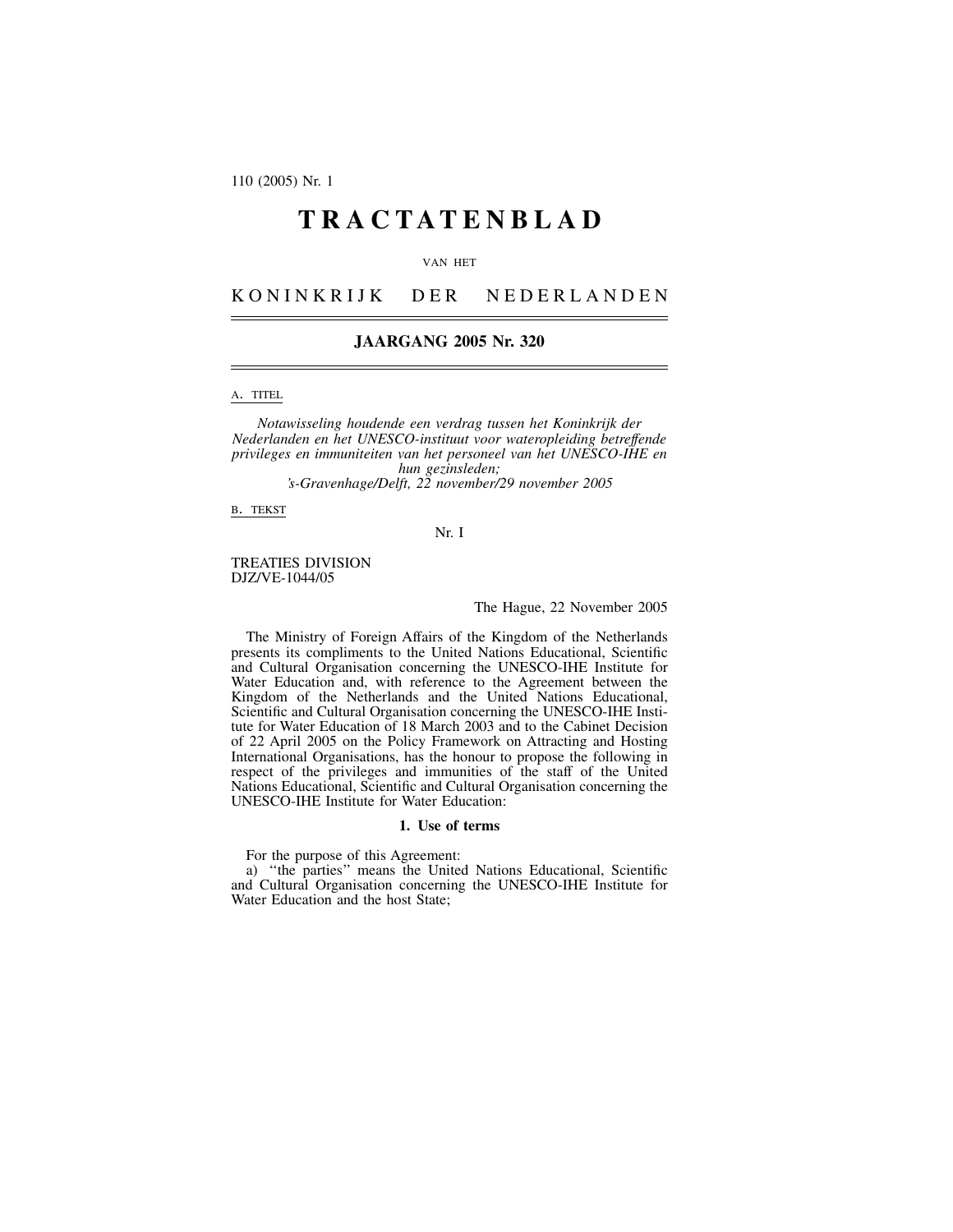110 (2005) Nr. 1

# **TRACTATENBLAD**

### VAN HET

KONINKRIJK DER NEDERLANDEN

# **JAARGANG 2005 Nr. 320**

A. TITEL

*Notawisseling houdende een verdrag tussen het Koninkrijk der Nederlanden en het UNESCO-instituut voor wateropleiding betreffende privileges en immuniteiten van het personeel van het UNESCO-IHE en hun gezinsleden;*

*'s-Gravenhage/Delft, 22 november/29 november 2005*

B. TEKST

Nr. I

# TREATIES DIVISION DJZ/VE-1044/05

# The Hague, 22 November 2005

The Ministry of Foreign Affairs of the Kingdom of the Netherlands presents its compliments to the United Nations Educational, Scientific and Cultural Organisation concerning the UNESCO-IHE Institute for Water Education and, with reference to the Agreement between the Kingdom of the Netherlands and the United Nations Educational, Scientific and Cultural Organisation concerning the UNESCO-IHE Institute for Water Education of 18 March 2003 and to the Cabinet Decision of 22 April 2005 on the Policy Framework on Attracting and Hosting International Organisations, has the honour to propose the following in respect of the privileges and immunities of the staff of the United Nations Educational, Scientific and Cultural Organisation concerning the UNESCO-IHE Institute for Water Education:

## **1. Use of terms**

For the purpose of this Agreement:

a) ''the parties'' means the United Nations Educational, Scientific and Cultural Organisation concerning the UNESCO-IHE Institute for Water Education and the host State;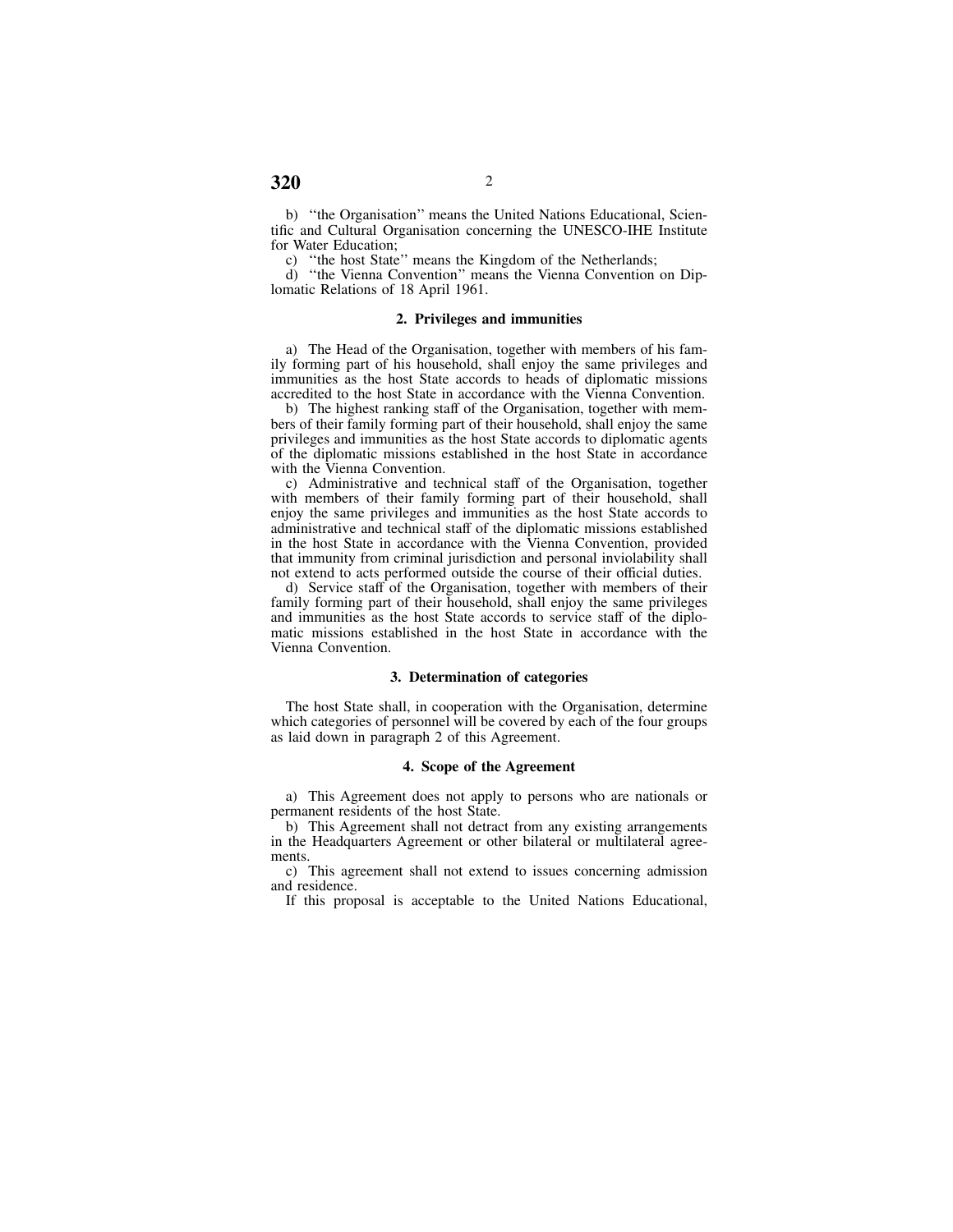b) ''the Organisation'' means the United Nations Educational, Scientific and Cultural Organisation concerning the UNESCO-IHE Institute for Water Education;

c) "the host State" means the Kingdom of the Netherlands;

d) ''the Vienna Convention'' means the Vienna Convention on Diplomatic Relations of 18 April 1961.

#### **2. Privileges and immunities**

a) The Head of the Organisation, together with members of his family forming part of his household, shall enjoy the same privileges and immunities as the host State accords to heads of diplomatic missions accredited to the host State in accordance with the Vienna Convention.

b) The highest ranking staff of the Organisation, together with members of their family forming part of their household, shall enjoy the same privileges and immunities as the host State accords to diplomatic agents of the diplomatic missions established in the host State in accordance with the Vienna Convention.

c) Administrative and technical staff of the Organisation, together with members of their family forming part of their household, shall enjoy the same privileges and immunities as the host State accords to administrative and technical staff of the diplomatic missions established in the host State in accordance with the Vienna Convention, provided that immunity from criminal jurisdiction and personal inviolability shall not extend to acts performed outside the course of their official duties.

d) Service staff of the Organisation, together with members of their family forming part of their household, shall enjoy the same privileges and immunities as the host State accords to service staff of the diplomatic missions established in the host State in accordance with the Vienna Convention.

# **3. Determination of categories**

The host State shall, in cooperation with the Organisation, determine which categories of personnel will be covered by each of the four groups as laid down in paragraph 2 of this Agreement.

### **4. Scope of the Agreement**

a) This Agreement does not apply to persons who are nationals or permanent residents of the host State.

b) This Agreement shall not detract from any existing arrangements in the Headquarters Agreement or other bilateral or multilateral agreements.

c) This agreement shall not extend to issues concerning admission and residence.

If this proposal is acceptable to the United Nations Educational,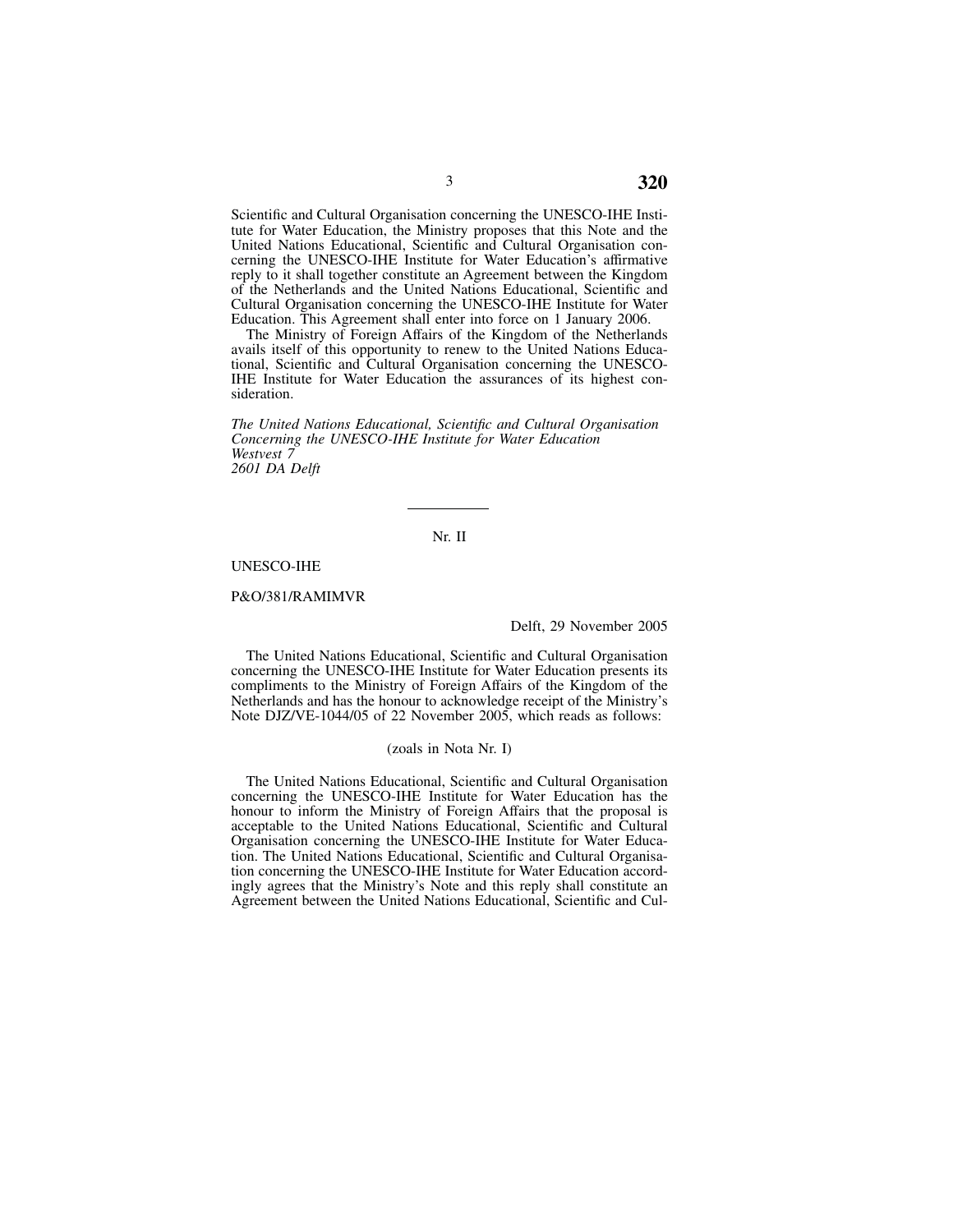Scientific and Cultural Organisation concerning the UNESCO-IHE Institute for Water Education, the Ministry proposes that this Note and the United Nations Educational, Scientific and Cultural Organisation concerning the UNESCO-IHE Institute for Water Education's affirmative reply to it shall together constitute an Agreement between the Kingdom of the Netherlands and the United Nations Educational, Scientific and Cultural Organisation concerning the UNESCO-IHE Institute for Water Education. This Agreement shall enter into force on 1 January 2006.

The Ministry of Foreign Affairs of the Kingdom of the Netherlands avails itself of this opportunity to renew to the United Nations Educational, Scientific and Cultural Organisation concerning the UNESCO-IHE Institute for Water Education the assurances of its highest consideration.

*The United Nations Educational, Scientific and Cultural Organisation Concerning the UNESCO-IHE Institute for Water Education Westvest 7 2601 DA Delft*

# Nr. II

## UNESCO-IHE

## P&O/381/RAMIMVR

## Delft, 29 November 2005

The United Nations Educational, Scientific and Cultural Organisation concerning the UNESCO-IHE Institute for Water Education presents its compliments to the Ministry of Foreign Affairs of the Kingdom of the Netherlands and has the honour to acknowledge receipt of the Ministry's Note DJZ/VE-1044/05 of 22 November 2005, which reads as follows:

### (zoals in Nota Nr. I)

The United Nations Educational, Scientific and Cultural Organisation concerning the UNESCO-IHE Institute for Water Education has the honour to inform the Ministry of Foreign Affairs that the proposal is acceptable to the United Nations Educational, Scientific and Cultural Organisation concerning the UNESCO-IHE Institute for Water Education. The United Nations Educational, Scientific and Cultural Organisation concerning the UNESCO-IHE Institute for Water Education accordingly agrees that the Ministry's Note and this reply shall constitute an Agreement between the United Nations Educational, Scientific and Cul-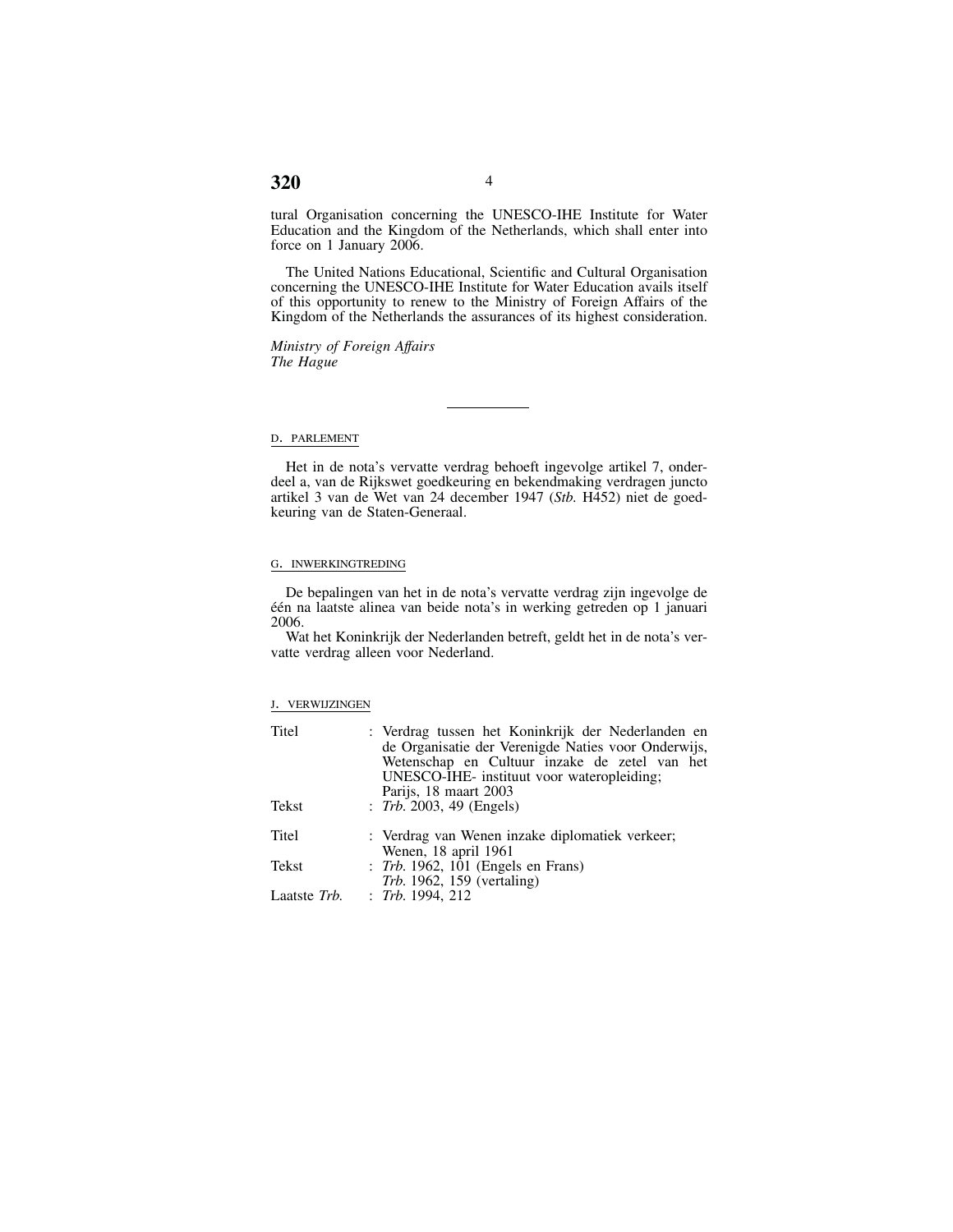# tural Organisation concerning the UNESCO-IHE Institute for Water Education and the Kingdom of the Netherlands, which shall enter into force on 1 January 2006.

The United Nations Educational, Scientific and Cultural Organisation concerning the UNESCO-IHE Institute for Water Education avails itself of this opportunity to renew to the Ministry of Foreign Affairs of the Kingdom of the Netherlands the assurances of its highest consideration.

*Ministry of Foreign Affairs The Hague*

## D. PARLEMENT

Het in de nota's vervatte verdrag behoeft ingevolge artikel 7, onderdeel a, van de Rijkswet goedkeuring en bekendmaking verdragen juncto artikel 3 van de Wet van 24 december 1947 (*Stb.* H452) niet de goedkeuring van de Staten-Generaal.

# G. INWERKINGTREDING

De bepalingen van het in de nota's vervatte verdrag zijn ingevolge de één na laatste alinea van beide nota's in werking getreden op 1 januari 2006.

Wat het Koninkrijk der Nederlanden betreft, geldt het in de nota's vervatte verdrag alleen voor Nederland.

# J. VERWIJZINGEN

| Titel        | : Verdrag tussen het Koninkrijk der Nederlanden en<br>de Organisatie der Verenigde Naties voor Onderwijs,<br>Wetenschap en Cultuur inzake de zetel van het<br>UNESCO-IHE- instituut voor wateropleiding;<br>Parijs, 18 maart 2003 |
|--------------|-----------------------------------------------------------------------------------------------------------------------------------------------------------------------------------------------------------------------------------|
| Tekst        | : Trb. 2003, 49 (Engels)                                                                                                                                                                                                          |
| Titel        | : Verdrag van Wenen inzake diplomatiek verkeer;<br>Wenen, 18 april 1961                                                                                                                                                           |
| Tekst        | : Trb. 1962, 101 (Engels en Frans)<br><i>Trb.</i> 1962, 159 (vertaling)                                                                                                                                                           |
| Laatste Trb. | $:$ Trb. 1994, 212                                                                                                                                                                                                                |